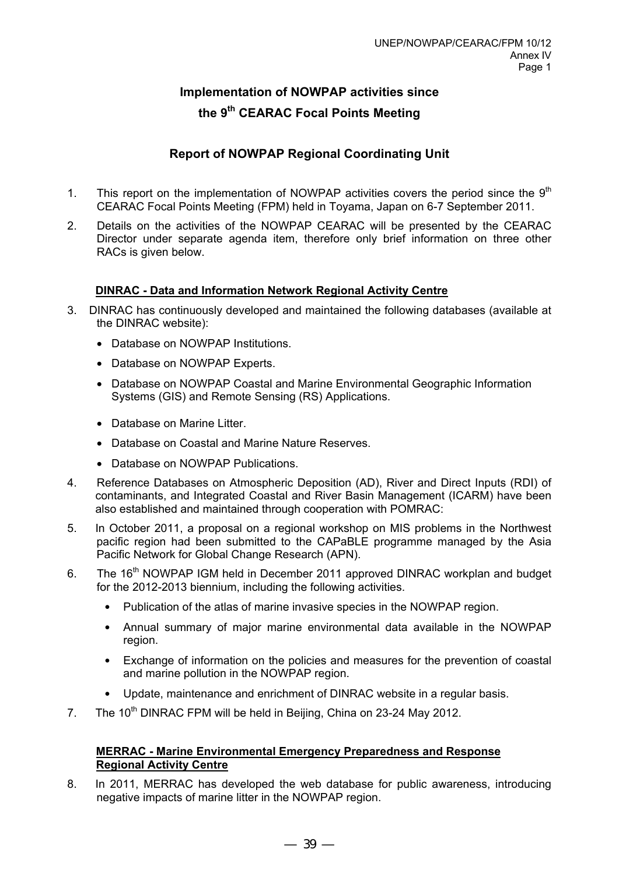# **Implementation of NOWPAP activities since the 9th CEARAC Focal Points Meeting**

# **Report of NOWPAP Regional Coordinating Unit**

- 1. This report on the implementation of NOWPAP activities covers the period since the  $9<sup>th</sup>$ CEARAC Focal Points Meeting (FPM) held in Toyama, Japan on 6-7 September 2011.
- 2. Details on the activities of the NOWPAP CEARAC will be presented by the CEARAC Director under separate agenda item, therefore only brief information on three other RACs is given below.

# **DINRAC - Data and Information Network Regional Activity Centre**

- 3. DINRAC has continuously developed and maintained the following databases (available at the DINRAC website):
	- Database on NOWPAP Institutions.
	- Database on NOWPAP Experts.
	- Database on NOWPAP Coastal and Marine Environmental Geographic Information Systems (GIS) and Remote Sensing (RS) Applications.
	- Database on Marine Litter
	- Database on Coastal and Marine Nature Reserves.
	- Database on NOWPAP Publications.
- 4. Reference Databases on Atmospheric Deposition (AD), River and Direct Inputs (RDI) of contaminants, and Integrated Coastal and River Basin Management (ICARM) have been also established and maintained through cooperation with POMRAC:
- 5. In October 2011, a proposal on a regional workshop on MIS problems in the Northwest pacific region had been submitted to the CAPaBLE programme managed by the Asia Pacific Network for Global Change Research (APN).
- 6. The 16<sup>th</sup> NOWPAP IGM held in December 2011 approved DINRAC workplan and budget for the 2012-2013 biennium, including the following activities.
	- Publication of the atlas of marine invasive species in the NOWPAP region.
	- Annual summary of major marine environmental data available in the NOWPAP region.
	- Exchange of information on the policies and measures for the prevention of coastal and marine pollution in the NOWPAP region.
	- Update, maintenance and enrichment of DINRAC website in a regular basis.
- 7. The 10<sup>th</sup> DINRAC FPM will be held in Beijing, China on 23-24 May 2012.

# **MERRAC - Marine Environmental Emergency Preparedness and Response Regional Activity Centre**

8. In 2011, MERRAC has developed the web database for public awareness, introducing negative impacts of marine litter in the NOWPAP region.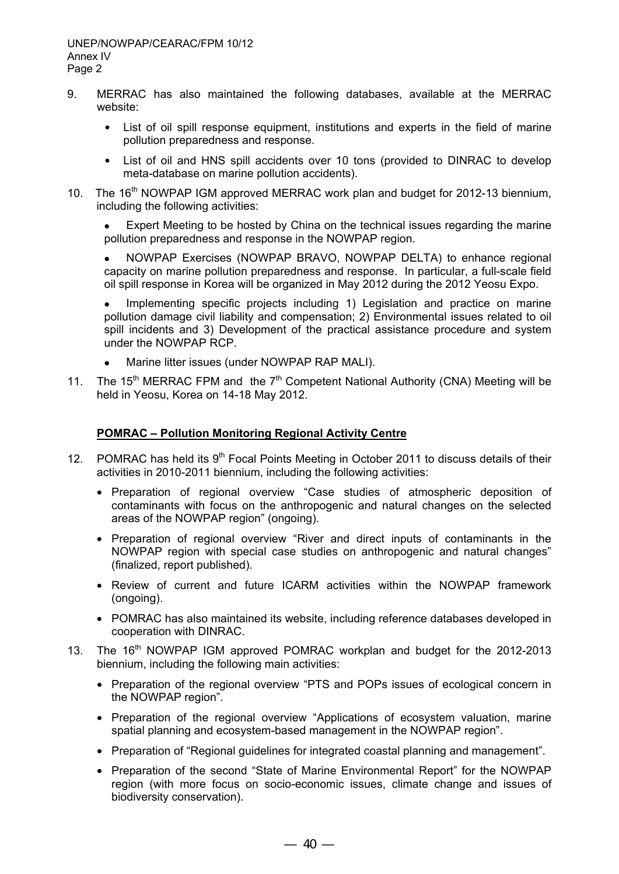- 9. MERRAC has also maintained the following databases, available at the MERRAC website:
	- List of oil spill response equipment, institutions and experts in the field of marine pollution preparedness and response.
	- List of oil and HNS spill accidents over 10 tons (provided to DINRAC to develop meta-database on marine pollution accidents).
- 10. The 16<sup>th</sup> NOWPAP IGM approved MERRAC work plan and budget for 2012-13 biennium, including the following activities:

 Expert Meeting to be hosted by China on the technical issues regarding the marine pollution preparedness and response in the NOWPAP region.

 NOWPAP Exercises (NOWPAP BRAVO, NOWPAP DELTA) to enhance regional capacity on marine pollution preparedness and response. In particular, a full-scale field oil spill response in Korea will be organized in May 2012 during the 2012 Yeosu Expo.

 Implementing specific projects including 1) Legislation and practice on marine pollution damage civil liability and compensation; 2) Environmental issues related to oil spill incidents and 3) Development of the practical assistance procedure and system under the NOWPAP RCP.

- Marine litter issues (under NOWPAP RAP MALI).
- 11. The 15<sup>th</sup> MERRAC FPM and the  $7<sup>th</sup>$  Competent National Authority (CNA) Meeting will be held in Yeosu, Korea on 14-18 May 2012.

#### **POMRAC – Pollution Monitoring Regional Activity Centre**

- 12. POMRAC has held its 9<sup>th</sup> Focal Points Meeting in October 2011 to discuss details of their activities in 2010-2011 biennium, including the following activities:
	- Preparation of regional overview "Case studies of atmospheric deposition of contaminants with focus on the anthropogenic and natural changes on the selected areas of the NOWPAP region" (ongoing).
	- Preparation of regional overview "River and direct inputs of contaminants in the NOWPAP region with special case studies on anthropogenic and natural changes" (finalized, report published).
	- Review of current and future ICARM activities within the NOWPAP framework (ongoing).
	- POMRAC has also maintained its website, including reference databases developed in cooperation with DINRAC.
- 13. The 16<sup>th</sup> NOWPAP IGM approved POMRAC workplan and budget for the 2012-2013 biennium, including the following main activities:
	- Preparation of the regional overview "PTS and POPs issues of ecological concern in the NOWPAP region".
	- Preparation of the regional overview "Applications of ecosystem valuation, marine spatial planning and ecosystem-based management in the NOWPAP region".
	- Preparation of "Regional guidelines for integrated coastal planning and management".
	- Preparation of the second "State of Marine Environmental Report" for the NOWPAP region (with more focus on socio-economic issues, climate change and issues of biodiversity conservation).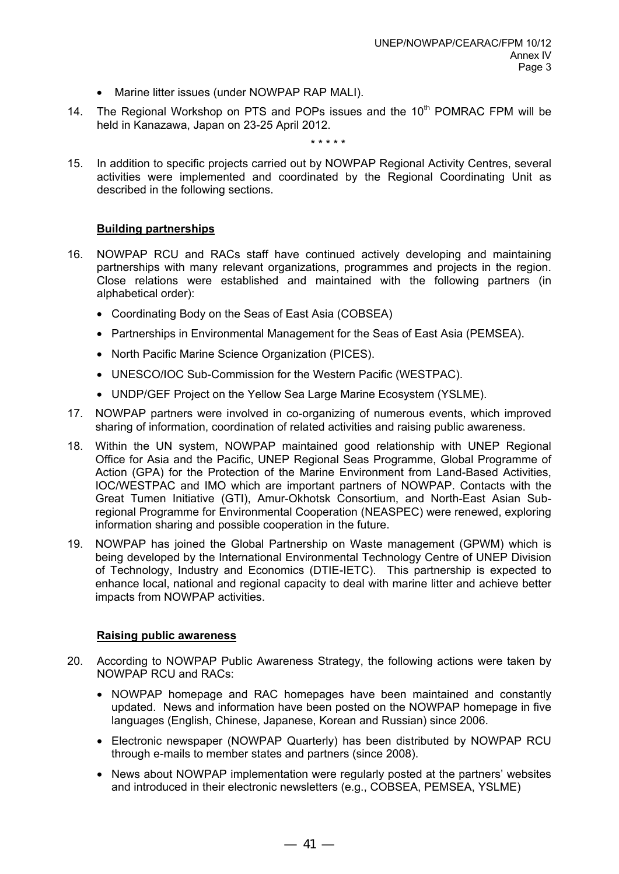- Marine litter issues (under NOWPAP RAP MALI).
- 14. The Regional Workshop on PTS and POPs issues and the 10<sup>th</sup> POMRAC FPM will be held in Kanazawa, Japan on 23-25 April 2012.

\* \* \* \* \*

15. In addition to specific projects carried out by NOWPAP Regional Activity Centres, several activities were implemented and coordinated by the Regional Coordinating Unit as described in the following sections.

# **Building partnerships**

- 16. NOWPAP RCU and RACs staff have continued actively developing and maintaining partnerships with many relevant organizations, programmes and projects in the region. Close relations were established and maintained with the following partners (in alphabetical order):
	- Coordinating Body on the Seas of East Asia (COBSEA)
	- Partnerships in Environmental Management for the Seas of East Asia (PEMSEA).
	- North Pacific Marine Science Organization (PICES).
	- UNESCO/IOC Sub-Commission for the Western Pacific (WESTPAC).
	- UNDP/GEF Project on the Yellow Sea Large Marine Ecosystem (YSLME).
- 17. NOWPAP partners were involved in co-organizing of numerous events, which improved sharing of information, coordination of related activities and raising public awareness.
- 18. Within the UN system, NOWPAP maintained good relationship with UNEP Regional Office for Asia and the Pacific, UNEP Regional Seas Programme, Global Programme of Action (GPA) for the Protection of the Marine Environment from Land-Based Activities, IOC/WESTPAC and IMO which are important partners of NOWPAP. Contacts with the Great Tumen Initiative (GTI), Amur-Okhotsk Consortium, and North-East Asian Subregional Programme for Environmental Cooperation (NEASPEC) were renewed, exploring information sharing and possible cooperation in the future.
- 19. NOWPAP has joined the Global Partnership on Waste management (GPWM) which is being developed by the International Environmental Technology Centre of UNEP Division of Technology, Industry and Economics (DTIE-IETC). This partnership is expected to enhance local, national and regional capacity to deal with marine litter and achieve better impacts from NOWPAP activities.

# **Raising public awareness**

- 20. According to NOWPAP Public Awareness Strategy, the following actions were taken by NOWPAP RCU and RACs:
	- NOWPAP homepage and RAC homepages have been maintained and constantly updated. News and information have been posted on the NOWPAP homepage in five languages (English, Chinese, Japanese, Korean and Russian) since 2006.
	- Electronic newspaper (NOWPAP Quarterly) has been distributed by NOWPAP RCU through e-mails to member states and partners (since 2008).
	- News about NOWPAP implementation were regularly posted at the partners' websites and introduced in their electronic newsletters (e.g., COBSEA, PEMSEA, YSLME)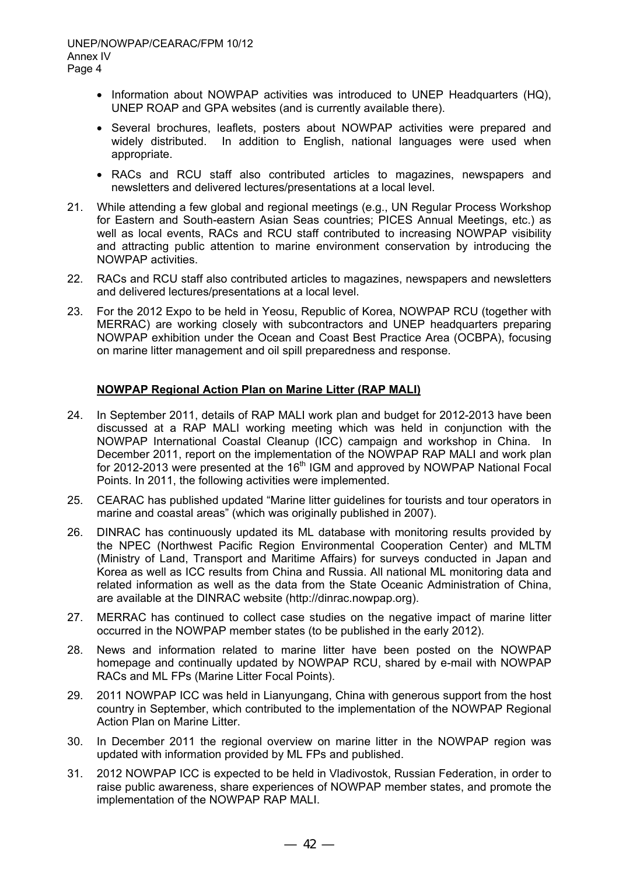- Information about NOWPAP activities was introduced to UNEP Headquarters (HQ), UNEP ROAP and GPA websites (and is currently available there).
- Several brochures, leaflets, posters about NOWPAP activities were prepared and widely distributed. In addition to English, national languages were used when appropriate.
- RACs and RCU staff also contributed articles to magazines, newspapers and newsletters and delivered lectures/presentations at a local level.
- 21. While attending a few global and regional meetings (e.g., UN Regular Process Workshop for Eastern and South-eastern Asian Seas countries; PICES Annual Meetings, etc.) as well as local events, RACs and RCU staff contributed to increasing NOWPAP visibility and attracting public attention to marine environment conservation by introducing the NOWPAP activities.
- 22. RACs and RCU staff also contributed articles to magazines, newspapers and newsletters and delivered lectures/presentations at a local level.
- 23. For the 2012 Expo to be held in Yeosu, Republic of Korea, NOWPAP RCU (together with MERRAC) are working closely with subcontractors and UNEP headquarters preparing NOWPAP exhibition under the Ocean and Coast Best Practice Area (OCBPA), focusing on marine litter management and oil spill preparedness and response.

# **NOWPAP Regional Action Plan on Marine Litter (RAP MALI)**

- 24. In September 2011, details of RAP MALI work plan and budget for 2012-2013 have been discussed at a RAP MALI working meeting which was held in conjunction with the NOWPAP International Coastal Cleanup (ICC) campaign and workshop in China. In December 2011, report on the implementation of the NOWPAP RAP MALI and work plan for 2012-2013 were presented at the 16<sup>th</sup> IGM and approved by NOWPAP National Focal Points. In 2011, the following activities were implemented.
- 25. CEARAC has published updated "Marine litter guidelines for tourists and tour operators in marine and coastal areas" (which was originally published in 2007).
- 26. DINRAC has continuously updated its ML database with monitoring results provided by the NPEC (Northwest Pacific Region Environmental Cooperation Center) and MLTM (Ministry of Land, Transport and Maritime Affairs) for surveys conducted in Japan and Korea as well as ICC results from China and Russia. All national ML monitoring data and related information as well as the data from the State Oceanic Administration of China, are available at the DINRAC website (http://dinrac.nowpap.org).
- 27. MERRAC has continued to collect case studies on the negative impact of marine litter occurred in the NOWPAP member states (to be published in the early 2012).
- 28. News and information related to marine litter have been posted on the NOWPAP homepage and continually updated by NOWPAP RCU, shared by e-mail with NOWPAP RACs and ML FPs (Marine Litter Focal Points).
- 29. 2011 NOWPAP ICC was held in Lianyungang, China with generous support from the host country in September, which contributed to the implementation of the NOWPAP Regional Action Plan on Marine Litter.
- 30. In December 2011 the regional overview on marine litter in the NOWPAP region was updated with information provided by ML FPs and published.
- 31. 2012 NOWPAP ICC is expected to be held in Vladivostok, Russian Federation, in order to raise public awareness, share experiences of NOWPAP member states, and promote the implementation of the NOWPAP RAP MALI.